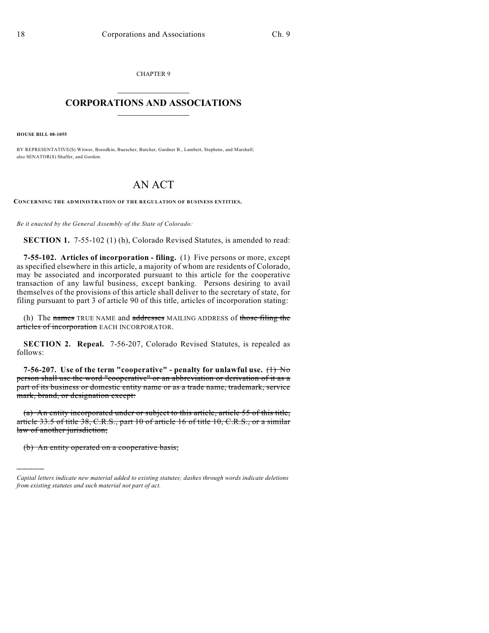CHAPTER 9  $\mathcal{L}_\text{max}$  . The set of the set of the set of the set of the set of the set of the set of the set of the set of the set of the set of the set of the set of the set of the set of the set of the set of the set of the set

## **CORPORATIONS AND ASSOCIATIONS**  $\_$   $\_$   $\_$   $\_$   $\_$   $\_$   $\_$   $\_$   $\_$

**HOUSE BILL 08-1055**

BY REPRESENTATIVE(S) Witwer, Borodkin, Buescher, Butcher, Gardner B., Lambert, Stephens, and Marshall; also SENATOR(S) Shaffer, and Gordon.

## AN ACT

**CONCERNING THE ADMINISTRATION OF THE REGULATION OF BUSINESS ENTITIES.**

*Be it enacted by the General Assembly of the State of Colorado:*

**SECTION 1.** 7-55-102 (1) (h), Colorado Revised Statutes, is amended to read:

**7-55-102. Articles of incorporation - filing.** (1) Five persons or more, except as specified elsewhere in this article, a majority of whom are residents of Colorado, may be associated and incorporated pursuant to this article for the cooperative transaction of any lawful business, except banking. Persons desiring to avail themselves of the provisions of this article shall deliver to the secretary of state, for filing pursuant to part 3 of article 90 of this title, articles of incorporation stating:

(h) The names TRUE NAME and addresses MAILING ADDRESS of those filing the articles of incorporation EACH INCORPORATOR.

**SECTION 2. Repeal.** 7-56-207, Colorado Revised Statutes, is repealed as follows:

**7-56-207.** Use of the term "cooperative" - penalty for unlawful use.  $\left(\frac{1}{1}\right)$  No person shall use the word "cooperative" or an abbreviation or derivation of it as a part of its business or domestic entity name or as a trade name, trademark, service mark, brand, or designation except:

(a) An entity incorporated under or subject to this article, article 55 of this title, article 33.5 of title 38, C.R.S., part 10 of article 16 of title 10, C.R.S., or a similar law of another jurisdiction;

(b) An entity operated on a cooperative basis;

)))))

*Capital letters indicate new material added to existing statutes; dashes through words indicate deletions from existing statutes and such material not part of act.*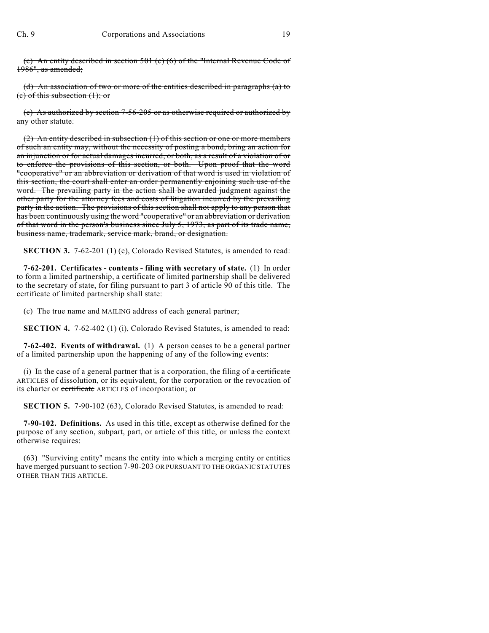(c) An entity described in section 501 (c) (6) of the "Internal Revenue Code of 1986", as amended;

(d) An association of two or more of the entities described in paragraphs (a) to (c) of this subsection (1); or

(e) As authorized by section 7-56-205 or as otherwise required or authorized by any other statute.

(2) An entity described in subsection (1) of this section or one or more members of such an entity may, without the necessity of posting a bond, bring an action for an injunction or for actual damages incurred, or both, as a result of a violation of or to enforce the provisions of this section, or both. Upon proof that the word "cooperative" or an abbreviation or derivation of that word is used in violation of this section, the court shall enter an order permanently enjoining such use of the word. The prevailing party in the action shall be awarded judgment against the other party for the attorney fees and costs of litigation incurred by the prevailing party in the action. The provisions of this section shall not apply to any person that has been continuously using the word "cooperative" or an abbreviation or derivation of that word in the person's business since July 5, 1973, as part of its trade name, business name, trademark, service mark, brand, or designation.

**SECTION 3.** 7-62-201 (1) (c), Colorado Revised Statutes, is amended to read:

**7-62-201. Certificates - contents - filing with secretary of state.** (1) In order to form a limited partnership, a certificate of limited partnership shall be delivered to the secretary of state, for filing pursuant to part 3 of article 90 of this title. The certificate of limited partnership shall state:

(c) The true name and MAILING address of each general partner;

**SECTION 4.** 7-62-402 (1) (i), Colorado Revised Statutes, is amended to read:

**7-62-402. Events of withdrawal.** (1) A person ceases to be a general partner of a limited partnership upon the happening of any of the following events:

(i) In the case of a general partner that is a corporation, the filing of  $\alpha$  certificate ARTICLES of dissolution, or its equivalent, for the corporation or the revocation of its charter or certificate ARTICLES of incorporation; or

**SECTION 5.** 7-90-102 (63), Colorado Revised Statutes, is amended to read:

**7-90-102. Definitions.** As used in this title, except as otherwise defined for the purpose of any section, subpart, part, or article of this title, or unless the context otherwise requires:

(63) "Surviving entity" means the entity into which a merging entity or entities have merged pursuant to section 7-90-203 OR PURSUANT TO THE ORGANIC STATUTES OTHER THAN THIS ARTICLE.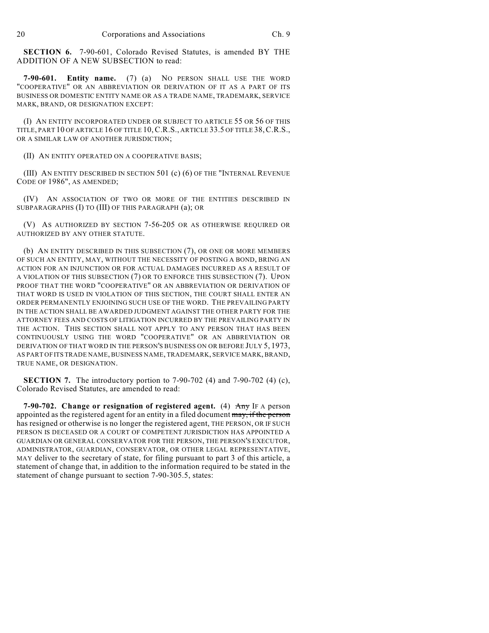**SECTION 6.** 7-90-601, Colorado Revised Statutes, is amended BY THE ADDITION OF A NEW SUBSECTION to read:

**7-90-601. Entity name.** (7) (a) NO PERSON SHALL USE THE WORD "COOPERATIVE" OR AN ABBREVIATION OR DERIVATION OF IT AS A PART OF ITS BUSINESS OR DOMESTIC ENTITY NAME OR AS A TRADE NAME, TRADEMARK, SERVICE MARK, BRAND, OR DESIGNATION EXCEPT:

(I) AN ENTITY INCORPORATED UNDER OR SUBJECT TO ARTICLE 55 OR 56 OF THIS TITLE, PART 10 OF ARTICLE 16 OF TITLE 10,C.R.S., ARTICLE 33.5 OF TITLE 38,C.R.S., OR A SIMILAR LAW OF ANOTHER JURISDICTION;

(II) AN ENTITY OPERATED ON A COOPERATIVE BASIS;

(III) AN ENTITY DESCRIBED IN SECTION 501 (c) (6) OF THE "INTERNAL REVENUE CODE OF 1986", AS AMENDED;

(IV) AN ASSOCIATION OF TWO OR MORE OF THE ENTITIES DESCRIBED IN SUBPARAGRAPHS (I) TO (III) OF THIS PARAGRAPH (a); OR

(V) AS AUTHORIZED BY SECTION 7-56-205 OR AS OTHERWISE REQUIRED OR AUTHORIZED BY ANY OTHER STATUTE.

(b) AN ENTITY DESCRIBED IN THIS SUBSECTION (7), OR ONE OR MORE MEMBERS OF SUCH AN ENTITY, MAY, WITHOUT THE NECESSITY OF POSTING A BOND, BRING AN ACTION FOR AN INJUNCTION OR FOR ACTUAL DAMAGES INCURRED AS A RESULT OF A VIOLATION OF THIS SUBSECTION (7) OR TO ENFORCE THIS SUBSECTION (7). UPON PROOF THAT THE WORD "COOPERATIVE" OR AN ABBREVIATION OR DERIVATION OF THAT WORD IS USED IN VIOLATION OF THIS SECTION, THE COURT SHALL ENTER AN ORDER PERMANENTLY ENJOINING SUCH USE OF THE WORD. THE PREVAILING PARTY IN THE ACTION SHALL BE AWARDED JUDGMENT AGAINST THE OTHER PARTY FOR THE ATTORNEY FEES AND COSTS OF LITIGATION INCURRED BY THE PREVAILING PARTY IN THE ACTION. THIS SECTION SHALL NOT APPLY TO ANY PERSON THAT HAS BEEN CONTINUOUSLY USING THE WORD "COOPERATIVE" OR AN ABBREVIATION OR DERIVATION OF THAT WORD IN THE PERSON'S BUSINESS ON OR BEFORE JULY 5, 1973, AS PART OF ITS TRADE NAME, BUSINESS NAME, TRADEMARK, SERVICE MARK, BRAND, TRUE NAME, OR DESIGNATION.

**SECTION 7.** The introductory portion to 7-90-702 (4) and 7-90-702 (4) (c), Colorado Revised Statutes, are amended to read:

**7-90-702. Change or resignation of registered agent.** (4) Any IF A person appointed as the registered agent for an entity in a filed document may, if the person has resigned or otherwise is no longer the registered agent, THE PERSON, OR IF SUCH PERSON IS DECEASED OR A COURT OF COMPETENT JURISDICTION HAS APPOINTED A GUARDIAN OR GENERAL CONSERVATOR FOR THE PERSON, THE PERSON'S EXECUTOR, ADMINISTRATOR, GUARDIAN, CONSERVATOR, OR OTHER LEGAL REPRESENTATIVE, MAY deliver to the secretary of state, for filing pursuant to part 3 of this article, a statement of change that, in addition to the information required to be stated in the statement of change pursuant to section 7-90-305.5, states: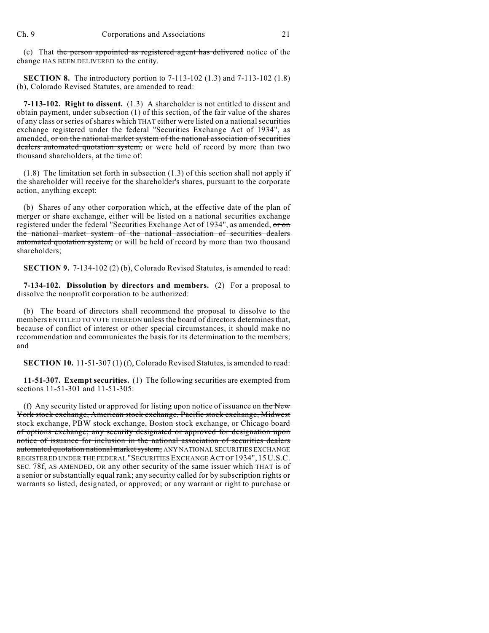(c) That the person appointed as registered agent has delivered notice of the change HAS BEEN DELIVERED to the entity.

**SECTION 8.** The introductory portion to 7-113-102 (1.3) and 7-113-102 (1.8) (b), Colorado Revised Statutes, are amended to read:

**7-113-102. Right to dissent.** (1.3) A shareholder is not entitled to dissent and obtain payment, under subsection (1) of this section, of the fair value of the shares of any class or series of shares which THAT either were listed on a national securities exchange registered under the federal "Securities Exchange Act of 1934", as amended, or on the national market system of the national association of securities dealers automated quotation system, or were held of record by more than two thousand shareholders, at the time of:

(1.8) The limitation set forth in subsection (1.3) of this section shall not apply if the shareholder will receive for the shareholder's shares, pursuant to the corporate action, anything except:

(b) Shares of any other corporation which, at the effective date of the plan of merger or share exchange, either will be listed on a national securities exchange registered under the federal "Securities Exchange Act of 1934", as amended, or on the national market system of the national association of securities dealers automated quotation system, or will be held of record by more than two thousand shareholders;

**SECTION 9.** 7-134-102 (2) (b), Colorado Revised Statutes, is amended to read:

**7-134-102. Dissolution by directors and members.** (2) For a proposal to dissolve the nonprofit corporation to be authorized:

(b) The board of directors shall recommend the proposal to dissolve to the members ENTITLED TO VOTE THEREON unless the board of directors determines that, because of conflict of interest or other special circumstances, it should make no recommendation and communicates the basis for its determination to the members; and

**SECTION 10.** 11-51-307 (1) (f), Colorado Revised Statutes, is amended to read:

**11-51-307. Exempt securities.** (1) The following securities are exempted from sections 11-51-301 and 11-51-305:

(f) Any security listed or approved for listing upon notice of issuance on the New York stock exchange, American stock exchange, Pacific stock exchange, Midwest stock exchange, PBW stock exchange, Boston stock exchange, or Chicago board of options exchange; any security designated or approved for designation upon notice of issuance for inclusion in the national association of securities dealers automated quotation national market system; ANY NATIONAL SECURITIES EXCHANGE REGISTERED UNDER THE FEDERAL "SECURITIES EXCHANGE ACT OF 1934", 15 U.S.C. SEC. 78f, AS AMENDED, OR any other security of the same issuer which THAT is of a senior or substantially equal rank; any security called for by subscription rights or warrants so listed, designated, or approved; or any warrant or right to purchase or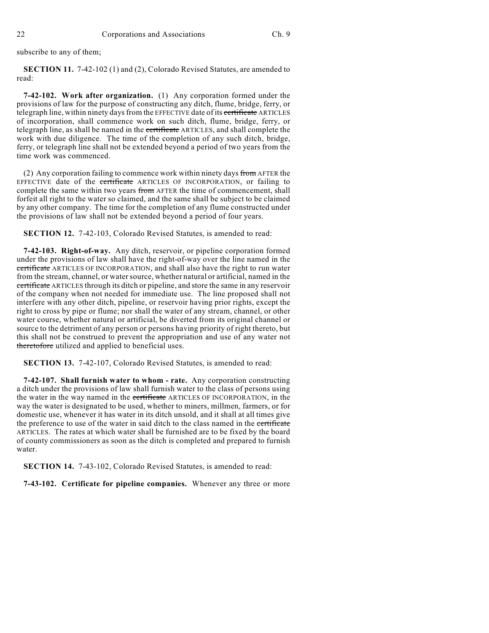subscribe to any of them;

**SECTION 11.** 7-42-102 (1) and (2), Colorado Revised Statutes, are amended to read:

**7-42-102. Work after organization.** (1) Any corporation formed under the provisions of law for the purpose of constructing any ditch, flume, bridge, ferry, or telegraph line, within ninety days from the EFFECTIVE date of its certificate ARTICLES of incorporation, shall commence work on such ditch, flume, bridge, ferry, or telegraph line, as shall be named in the *certificate* ARTICLES, and shall complete the work with due diligence. The time of the completion of any such ditch, bridge, ferry, or telegraph line shall not be extended beyond a period of two years from the time work was commenced.

(2) Any corporation failing to commence work within ninety days from AFTER the EFFECTIVE date of the **certificate** ARTICLES OF INCORPORATION, or failing to complete the same within two years from AFTER the time of commencement, shall forfeit all right to the water so claimed, and the same shall be subject to be claimed by any other company. The time for the completion of any flume constructed under the provisions of law shall not be extended beyond a period of four years.

**SECTION 12.** 7-42-103, Colorado Revised Statutes, is amended to read:

**7-42-103. Right-of-way.** Any ditch, reservoir, or pipeline corporation formed under the provisions of law shall have the right-of-way over the line named in the certificate ARTICLES OF INCORPORATION, and shall also have the right to run water from the stream, channel, or water source, whether natural or artificial, named in the certificate ARTICLES through its ditch or pipeline, and store the same in any reservoir of the company when not needed for immediate use. The line proposed shall not interfere with any other ditch, pipeline, or reservoir having prior rights, except the right to cross by pipe or flume; nor shall the water of any stream, channel, or other water course, whether natural or artificial, be diverted from its original channel or source to the detriment of any person or persons having priority of right thereto, but this shall not be construed to prevent the appropriation and use of any water not theretofore utilized and applied to beneficial uses.

**SECTION 13.** 7-42-107, Colorado Revised Statutes, is amended to read:

**7-42-107. Shall furnish water to whom - rate.** Any corporation constructing a ditch under the provisions of law shall furnish water to the class of persons using the water in the way named in the certificate ARTICLES OF INCORPORATION, in the way the water is designated to be used, whether to miners, millmen, farmers, or for domestic use, whenever it has water in its ditch unsold, and it shall at all times give the preference to use of the water in said ditch to the class named in the certificate ARTICLES. The rates at which water shall be furnished are to be fixed by the board of county commissioners as soon as the ditch is completed and prepared to furnish water.

**SECTION 14.** 7-43-102, Colorado Revised Statutes, is amended to read:

**7-43-102. Certificate for pipeline companies.** Whenever any three or more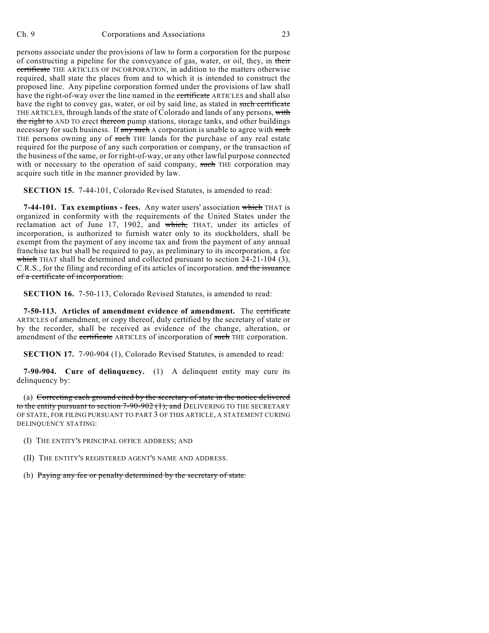persons associate under the provisions of law to form a corporation for the purpose of constructing a pipeline for the conveyance of gas, water, or oil, they, in their certificate THE ARTICLES OF INCORPORATION, in addition to the matters otherwise required, shall state the places from and to which it is intended to construct the proposed line. Any pipeline corporation formed under the provisions of law shall have the right-of-way over the line named in the certificate ARTICLES and shall also have the right to convey gas, water, or oil by said line, as stated in such certificate THE ARTICLES, through lands of the state of Colorado and lands of any persons, with the right to AND TO erect thereon pump stations, storage tanks, and other buildings necessary for such business. If any such A corporation is unable to agree with such THE persons owning any of such THE lands for the purchase of any real estate required for the purpose of any such corporation or company, or the transaction of the business of the same, or for right-of-way, or any other lawful purpose connected with or necessary to the operation of said company, such THE corporation may acquire such title in the manner provided by law.

**SECTION 15.** 7-44-101, Colorado Revised Statutes, is amended to read:

**7-44-101. Tax exemptions - fees.** Any water users' association which THAT is organized in conformity with the requirements of the United States under the reclamation act of June 17, 1902, and which, THAT, under its articles of incorporation, is authorized to furnish water only to its stockholders, shall be exempt from the payment of any income tax and from the payment of any annual franchise tax but shall be required to pay, as preliminary to its incorporation, a fee which THAT shall be determined and collected pursuant to section 24-21-104 (3), C.R.S., for the filing and recording of its articles of incorporation. and the issuance of a certificate of incorporation.

**SECTION 16.** 7-50-113, Colorado Revised Statutes, is amended to read:

**7-50-113. Articles of amendment evidence of amendment.** The certificate ARTICLES of amendment, or copy thereof, duly certified by the secretary of state or by the recorder, shall be received as evidence of the change, alteration, or amendment of the certificate ARTICLES of incorporation of such THE corporation.

**SECTION 17.** 7-90-904 (1), Colorado Revised Statutes, is amended to read:

**7-90-904. Cure of delinquency.** (1) A delinquent entity may cure its delinquency by:

(a) Correcting each ground cited by the secretary of state in the notice delivered to the entity pursuant to section  $7-90-902$  (1); and DELIVERING TO THE SECRETARY OF STATE, FOR FILING PURSUANT TO PART 3 OF THIS ARTICLE, A STATEMENT CURING DELINQUENCY STATING:

- (I) THE ENTITY'S PRINCIPAL OFFICE ADDRESS; AND
- (II) THE ENTITY'S REGISTERED AGENT'S NAME AND ADDRESS.
- (b) Paying any fee or penalty determined by the secretary of state.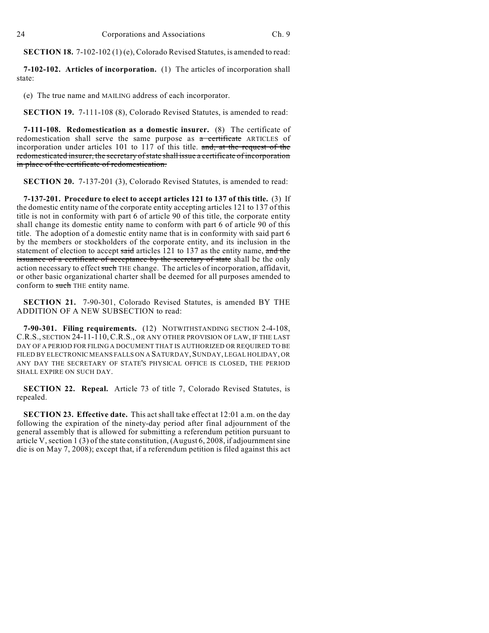**SECTION 18.** 7-102-102 (1) (e), Colorado Revised Statutes, is amended to read:

**7-102-102. Articles of incorporation.** (1) The articles of incorporation shall state:

(e) The true name and MAILING address of each incorporator.

**SECTION 19.** 7-111-108 (8), Colorado Revised Statutes, is amended to read:

**7-111-108. Redomestication as a domestic insurer.** (8) The certificate of redomestication shall serve the same purpose as a certificate ARTICLES of incorporation under articles 101 to 117 of this title. and, at the request of the redomesticated insurer, the secretary of state shall issue a certificate of incorporation in place of the certificate of redomestication.

**SECTION 20.** 7-137-201 (3), Colorado Revised Statutes, is amended to read:

**7-137-201. Procedure to elect to accept articles 121 to 137 of this title.** (3) If the domestic entity name of the corporate entity accepting articles 121 to 137 of this title is not in conformity with part 6 of article 90 of this title, the corporate entity shall change its domestic entity name to conform with part 6 of article 90 of this title. The adoption of a domestic entity name that is in conformity with said part 6 by the members or stockholders of the corporate entity, and its inclusion in the statement of election to accept said articles 121 to 137 as the entity name, and the issuance of a certificate of acceptance by the secretary of state shall be the only action necessary to effect such THE change. The articles of incorporation, affidavit, or other basic organizational charter shall be deemed for all purposes amended to conform to such THE entity name.

**SECTION 21.** 7-90-301, Colorado Revised Statutes, is amended BY THE ADDITION OF A NEW SUBSECTION to read:

**7-90-301. Filing requirements.** (12) NOTWITHSTANDING SECTION 2-4-108, C.R.S., SECTION 24-11-110, C.R.S., OR ANY OTHER PROVISION OF LAW, IF THE LAST DAY OF A PERIOD FOR FILING A DOCUMENT THAT IS AUTHORIZED OR REQUIRED TO BE FILED BY ELECTRONIC MEANS FALLS ON A SATURDAY, SUNDAY, LEGAL HOLIDAY, OR ANY DAY THE SECRETARY OF STATE'S PHYSICAL OFFICE IS CLOSED, THE PERIOD SHALL EXPIRE ON SUCH DAY.

**SECTION 22. Repeal.** Article 73 of title 7, Colorado Revised Statutes, is repealed.

**SECTION 23. Effective date.** This act shall take effect at 12:01 a.m. on the day following the expiration of the ninety-day period after final adjournment of the general assembly that is allowed for submitting a referendum petition pursuant to article V, section 1 (3) of the state constitution, (August 6, 2008, if adjournment sine die is on May 7, 2008); except that, if a referendum petition is filed against this act